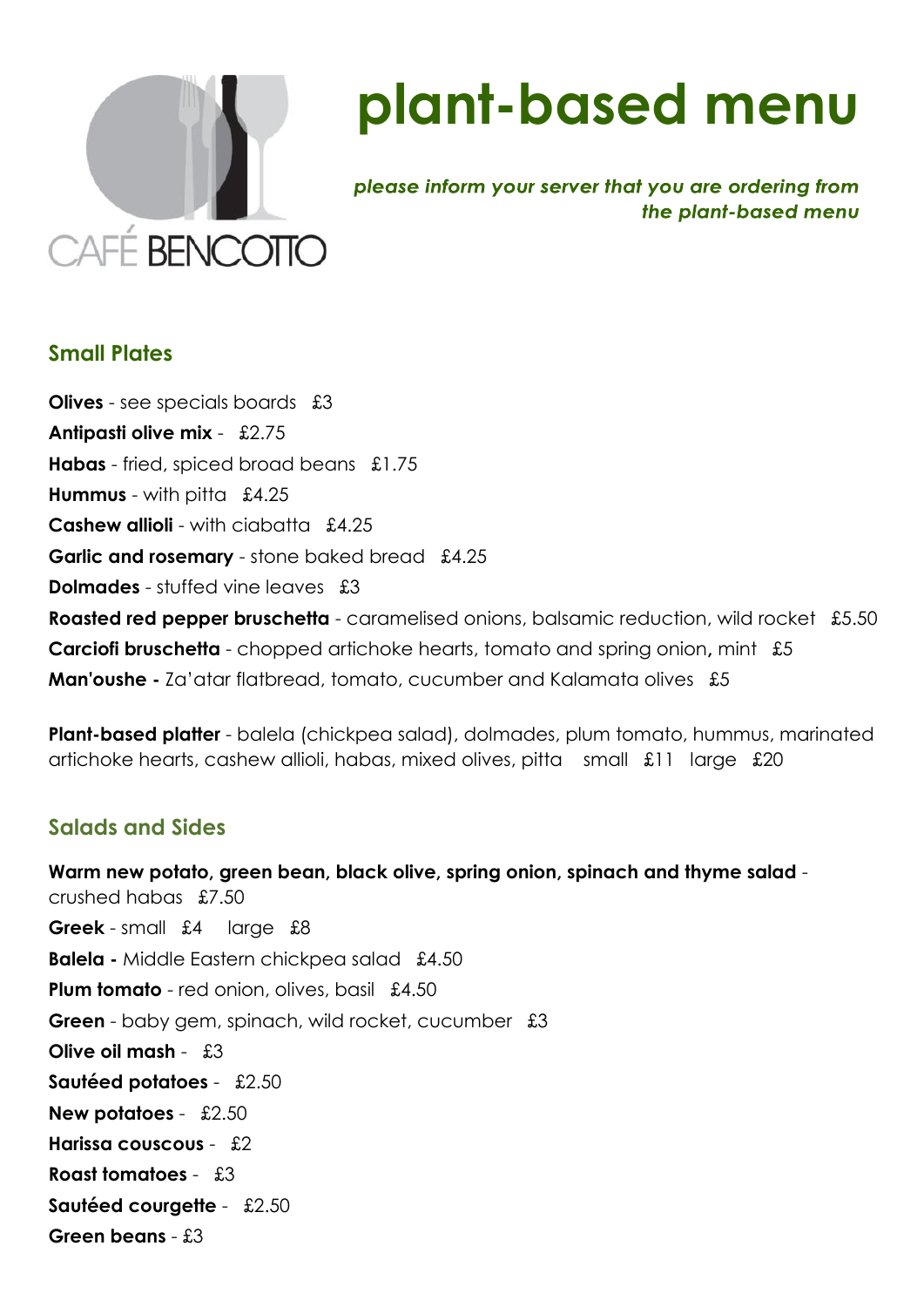

# **plant-based menu**

please inform your server that you are ordering from the plant-based menu

#### **Small Plates**

**Olives** - see specials boards £3 **Antipasti olive mix** - £2.75 **Habas** - fried, spiced broad beans £1.75 **Hummus** - with pitta£4.25 **Cashew allioli** - with ciabatta £4.25 **Garlic and rosemary** - stone baked bread £4.25 **Dolmades** - stuffed vine leaves £3 **Roasted red pepper bruschetta** - caramelised onions, balsamic reduction, wild rocket £5.50 **Carciofi bruschetta** - chopped artichoke hearts, tomato and spring onion**,** mint £5 **Man'oushe -** Za'atar flatbread, tomato, cucumber and Kalamata olives £5

**Plant-based platter** - balela (chickpea salad), dolmades, plum tomato, hummus, marinated artichoke hearts, cashew allioli, habas, mixed olives, pitta small £11 large £20

#### **Salads and Sides**

**Warm new potato, green bean, black olive, spring onion, spinach and thyme salad**  crushed habas £7.50 **Greek** - small £4 large £8 **Balela -** Middle Eastern chickpea salad £4.50 **Plum tomato** - red onion, olives, basil £4.50 **Green** - baby gem, spinach, wild rocket, cucumber £3 **Olive oil mash** - £3 **Sautéed potatoes** -£2.50 **New potatoes** - £2.50 **Harissa couscous** - £2 **Roast tomatoes** -£3 **Sautéed courgette** -£2.50 **Green beans** - £3